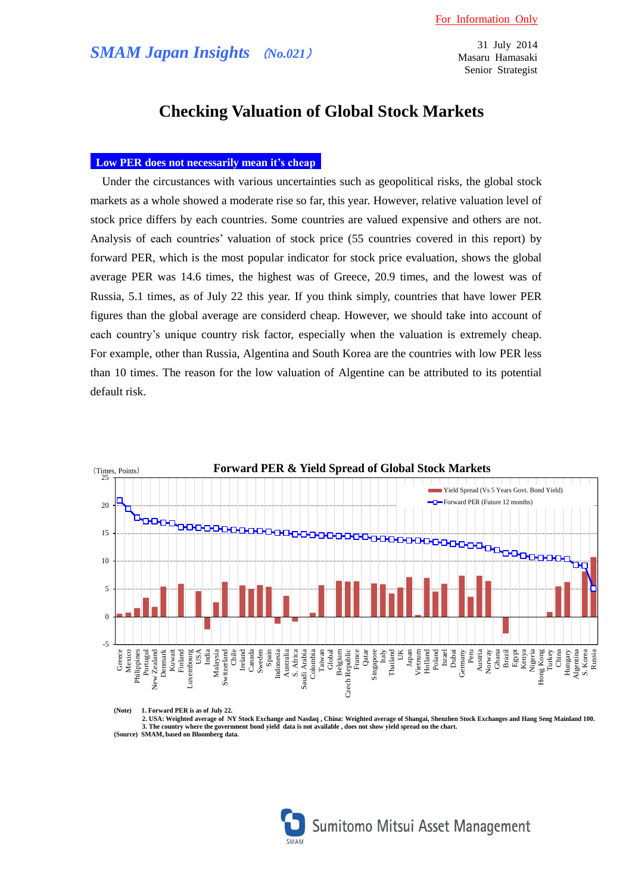31 July 2014 Masaru Hamasaki Senior Strategist

# **Checking Valuation of Global Stock Markets**

## **Low PER does not necessarily mean it's cheap**

Under the circustances with various uncertainties such as geopolitical risks, the global stock markets as a whole showed a moderate rise so far, this year. However, relative valuation level of stock price differs by each countries. Some countries are valued expensive and others are not. Analysis of each countries' valuation of stock price (55 countries covered in this report) by forward PER, which is the most popular indicator for stock price evaluation, shows the global average PER was 14.6 times, the highest was of Greece, 20.9 times, and the lowest was of Russia, 5.1 times, as of July 22 this year. If you think simply, countries that have lower PER figures than the global average are considerd cheap. However, we should take into account of each country's unique country risk factor, especially when the valuation is extremely cheap. For example, other than Russia, Algentina and South Korea are the countries with low PER less than 10 times. The reason for the low valuation of Algentine can be attributed to its potential default risk.



**<sup>(</sup>Note) 1. Forward PER is as of July 22.**

**2. USA: Weighted average of NY Stock Exchange and Nasdaq , China: Weighted average of Shangai, Shenzhen Stock Exchanges and Hang Seng Mainland 100. 3. The country where the government bond yield data is not available , does not show yield spread on the chart. (Source) SMAM, based on Bloomberg data.**